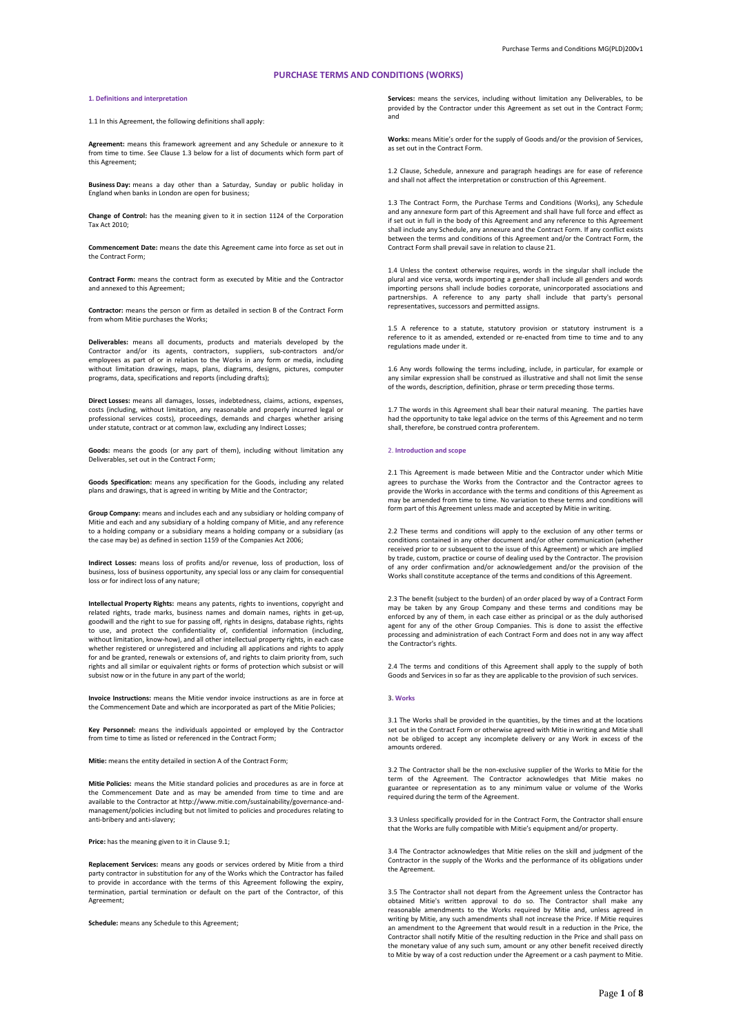# **PURCHASE TERMS AND CONDITIONS (WORKS)**

## **1. Definitions and interpretation**

1.1 In this Agreement, the following definitions shall apply

**Agreement:** means this framework agreement and any Schedule or annexure to it from time to time. See Clause 1.3 below for a list of documents which form part of this Agreement;

**Business Day:** means a day other than a Saturday, Sunday or public holiday in England when banks in London are open for business;

**Change of Control:** has the meaning given to it in section 1124 of the Corporation Tax Act 2010;

**Commencement Date:** means the date this Agreement came into force as set out in the Contract Form;

**Contract Form:** means the contract form as executed by Mitie and the Contractor and annexed to this Agreement;

**Contractor:** means the person or firm as detailed in section B of the Contract Form from whom Mitie purchases the Works;

**Deliverables:** means all documents, products and materials developed by the Contractor and/or its agents, contractors, suppliers, sub-contractors and/or employees as part of or in relation to the Works in any form or media, including without limitation drawings, maps, plans, diagrams, designs, pictures, computer programs, data, specifications and reports (including drafts);

**Direct Losses:** means all damages, losses, indebtedness, claims, actions, expenses, costs (including, without limitation, any reasonable and properly incurred legal or professional services costs), proceedings, demands and charges whether arising under statute, contract or at common law, excluding any Indirect Losses;

**Goods:** means the goods (or any part of them), including without limitation any Deliverables, set out in the Contract Form;

**Goods Specification:** means any specification for the Goods, including any related plans and drawings, that is agreed in writing by Mitie and the Contractor;

**Group Company:** means and includes each and any subsidiary or holding company of Mitie and each and any subsidiary of a holding company of Mitie, and any reference to a holding company or a subsidiary means a holding company or a subsidiary (as the case may be) as defined in section 1159 of the Companies Act 2006;

**Indirect Losses:** means loss of profits and/or revenue, loss of production, loss of business, loss of business opportunity, any special loss or any claim for consequential loss or for indirect loss of any nature;

**Intellectual Property Rights:** means any patents, rights to inventions, copyright and related rights, trade marks, business names and domain names, rights in get-up, goodwill and the right to sue for passing off, rights in designs, database rights, rights to use, and protect the confidentiality of, confidential information (including, without limitation, know-how), and all other intellectual property rights, in each case whether registered or unregistered and including all applications and rights to apply for and be granted, renewals or extensions of, and rights to claim priority from, such rights and all similar or equivalent rights or forms of protection which subsist or will subsist now or in the future in any part of the world;

**Invoice Instructions:** means the Mitie vendor invoice instructions as are in force at the Commencement Date and which are incorporated as part of the Mitie Policies;

**Key Personnel:** means the individuals appointed or employed by the Contractor from time to time as listed or referenced in the Contract Form;

**Mitie:** means the entity detailed in section A of the Contract Form;

**Mitie Policies:** means the Mitie standard policies and procedures as are in force at the Commencement Date and as may be amended from time to time and are available to the Contractor at http://www.mitie.com/sustainability/governance-andmanagement/policies including but not limited to policies and procedures relating to anti-bribery and anti-slavery;

**Price:** has the meaning given to it in Clause 9.1;

**Replacement Services:** means any goods or services ordered by Mitie from a third party contractor in substitution for any of the Works which the Contractor has failed to provide in accordance with the terms of this Agreement following the expiry, termination, partial termination or default on the part of the Contractor, of this Agreement;

**Schedule:** means any Schedule to this Agreement;

**Services:** means the services, including without limitation any Deliverables, to be provided by the Contractor under this Agreement as set out in the Contract Form; and

**Works:** means Mitie's order for the supply of Goods and/or the provision of Services, as set out in the Contract Form.

1.2 Clause, Schedule, annexure and paragraph headings are for ease of reference and shall not affect the interpretation or construction of this Agreement.

1.3 The Contract Form, the Purchase Terms and Conditions (Works), any Schedule and any annexure form part of this Agreement and shall have full force and effect as if set out in full in the body of this Agreement and any reference to this Agreement shall include any Schedule, any annexure and the Contract Form. If any conflict exists between the terms and conditions of this Agreement and/or the Contract Form, the Contract Form shall prevail save in relation to clause 21.

1.4 Unless the context otherwise requires, words in the singular shall include the plural and vice versa, words importing a gender shall include all genders and words importing persons shall include bodies corporate, unincorporated associations and partnerships. A reference to any party shall include that party's personal representatives, successors and permitted assigns.

1.5 A reference to a statute, statutory provision or statutory instrument is a reference to it as amended, extended or re-enacted from time to time and to any regulations made under it.

1.6 Any words following the terms including, include, in particular, for example or any similar expression shall be construed as illustrative and shall not limit the sense of the words, description, definition, phrase or term preceding those terms.

1.7 The words in this Agreement shall bear their natural meaning. The parties have had the opportunity to take legal advice on the terms of this Agreement and no term shall, therefore, be construed contra proferentem.

## 2. **Introduction and scope**

2.1 This Agreement is made between Mitie and the Contractor under which Mitie agrees to purchase the Works from the Contractor and the Contractor agrees to provide the Works in accordance with the terms and conditions of this Agreement as may be amended from time to time. No variation to these terms and conditions will form part of this Agreement unless made and accepted by Mitie in writing.

2.2 These terms and conditions will apply to the exclusion of any other terms or conditions contained in any other document and/or other communication (whether received prior to or subsequent to the issue of this Agreement) or which are implied by trade, custom, practice or course of dealing used by the Contractor. The provision of any order confirmation and/or acknowledgement and/or the provision of the Works shall constitute acceptance of the terms and conditions of this Agreement.

2.3 The benefit (subject to the burden) of an order placed by way of a Contract Form may be taken by any Group Company and these terms and conditions may be enforced by any of them, in each case either as principal or as the duly authorised agent for any of the other Group Companies. This is done to assist the effective processing and administration of each Contract Form and does not in any way affect the Contractor's rights.

2.4 The terms and conditions of this Agreement shall apply to the supply of both Goods and Services in so far as they are applicable to the provision of such services.

# 3**. Works**

3.1 The Works shall be provided in the quantities, by the times and at the locations set out in the Contract Form or otherwise agreed with Mitie in writing and Mitie shall not be obliged to accept any incomplete delivery or any Work in excess of the amounts ordered.

3.2 The Contractor shall be the non-exclusive supplier of the Works to Mitie for the term of the Agreement. The Contractor acknowledges that Mitie makes no guarantee or representation as to any minimum value or volume of the Works required during the term of the Agreement.

3.3 Unless specifically provided for in the Contract Form, the Contractor shall ensure that the Works are fully compatible with Mitie's equipment and/or property.

3.4 The Contractor acknowledges that Mitie relies on the skill and judgment of the Contractor in the supply of the Works and the performance of its obligations under the Agreement.

3.5 The Contractor shall not depart from the Agreement unless the Contractor has obtained Mitie's written approval to do so. The Contractor shall make any reasonable amendments to the Works required by Mitie and, unless agreed in writing by Mitie, any such amendments shall not increase the Price. If Mitie requires and ment to the Agreement that would result in a reduction in the Price, the Contractor shall notify Mitie of the resulting reduction in the Price and shall pass on the monetary value of any such sum, amount or any other benefit received directly to Mitie by way of a cost reduction under the Agreement or a cash payment to Mitie.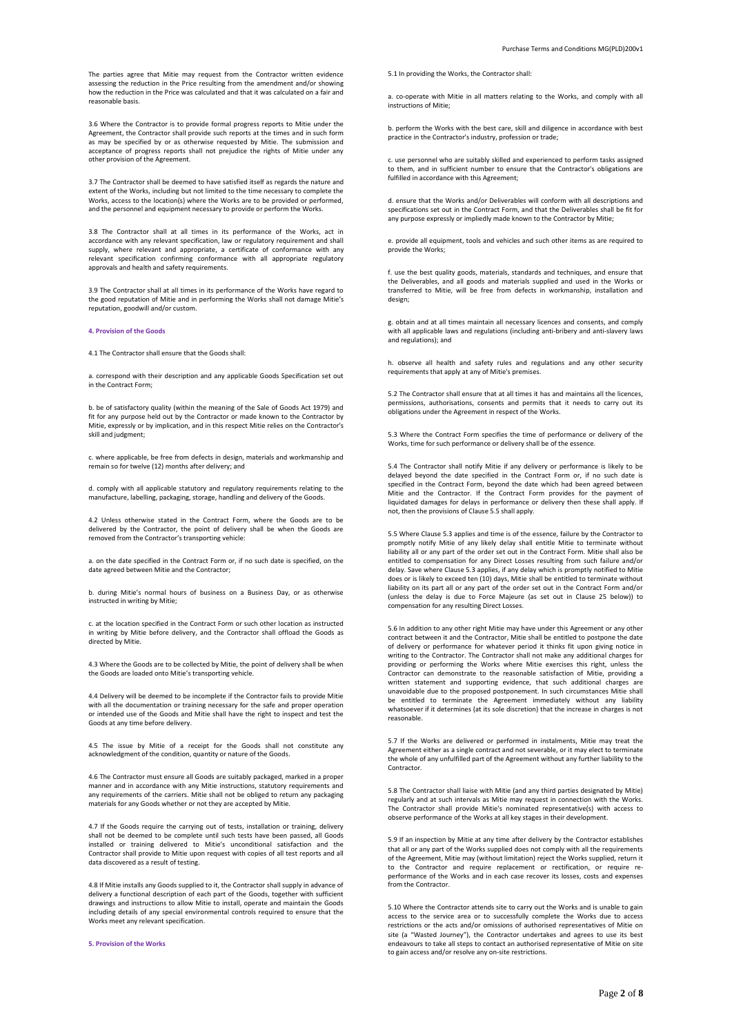The parties agree that Mitie may request from the Contractor written evidence assessing the reduction in the Price resulting from the amendment and/or showing how the reduction in the Price was calculated and that it was calculated on a fair and reasonable basis.

3.6 Where the Contractor is to provide formal progress reports to Mitie under the Agreement, the Contractor shall provide such reports at the times and in such form as may be specified by or as otherwise requested by Mitie. The submission and acceptance of progress reports shall not prejudice the rights of Mitie under any other provision of the Agreement.

3.7 The Contractor shall be deemed to have satisfied itself as regards the nature and extent of the Works, including but not limited to the time necessary to complete the Works, access to the location(s) where the Works are to be provided or performed, and the personnel and equipment necessary to provide or perform the Works.

3.8 The Contractor shall at all times in its performance of the Works, act in accordance with any relevant specification, law or regulatory requirement and shall supply, where relevant and appropriate, a certificate of conformance with any relevant specification confirming conformance with all appropriate regulatory approvals and health and safety requirements.

3.9 The Contractor shall at all times in its performance of the Works have regard to the good reputation of Mitie and in performing the Works shall not damage Mitie's reputation, goodwill and/or custom.

## **4. Provision of the Goods**

4.1 The Contractor shall ensure that the Goods shall:

a. correspond with their description and any applicable Goods Specification set out in the Contract Form;

b. be of satisfactory quality (within the meaning of the Sale of Goods Act 1979) and fit for any purpose held out by the Contractor or made known to the Contractor by Mitie, expressly or by implication, and in this respect Mitie relies on the Contractor's skill and judgment;

c. where applicable, be free from defects in design, materials and workmanship and remain so for twelve (12) months after delivery; and

d. comply with all applicable statutory and regulatory requirements relating to the manufacture, labelling, packaging, storage, handling and delivery of the Goods.

4.2 Unless otherwise stated in the Contract Form, where the Goods are to be delivered by the Contractor, the point of delivery shall be when the Goods are removed from the Contractor's transporting vehicle:

a. on the date specified in the Contract Form or, if no such date is specified, on the date agreed between Mitie and the Contractor;

b. during Mitie's normal hours of business on a Business Day, or as otherwise instructed in writing by Mitie;

c. at the location specified in the Contract Form or such other location as instructed in writing by Mitie before delivery, and the Contractor shall offload the Goods as directed by Mitie.

4.3 Where the Goods are to be collected by Mitie, the point of delivery shall be when the Goods are loaded onto Mitie's transporting vehicle.

4.4 Delivery will be deemed to be incomplete if the Contractor fails to provide Mitie with all the documentation or training necessary for the safe and proper operation or intended use of the Goods and Mitie shall have the right to inspect and test the Goods at any time before delivery.

4.5 The issue by Mitie of a receipt for the Goods shall not constitute any acknowledgment of the condition, quantity or nature of the Goods.

4.6 The Contractor must ensure all Goods are suitably packaged, marked in a proper manner and in accordance with any Mitie instructions, statutory requirements and any requirements of the carriers. Mitie shall not be obliged to return any packaging materials for any Goods whether or not they are accepted by Mitie.

4.7 If the Goods require the carrying out of tests, installation or training, delivery shall not be deemed to be complete until such tests have been passed, all Goods installed or training delivered to Mitie's unconditional satisfaction and the Contractor shall provide to Mitie upon request with copies of all test reports and all data discovered as a result of testing.

4.8 If Mitie installs any Goods supplied to it, the Contractor shall supply in advance of delivery a functional description of each part of the Goods, together with sufficient drawings and instructions to allow Mitie to install, operate and maintain the Goods including details of any special environmental controls required to ensure that the Works meet any relevant specification.

**5. Provision of the Works**

5.1 In providing the Works, the Contractor shall:

a. co-operate with Mitie in all matters relating to the Works, and comply with all instructions of Mitie;

b. perform the Works with the best care, skill and diligence in accordance with best practice in the Contractor's industry, profession or trade;

c. use personnel who are suitably skilled and experienced to perform tasks assigned to them, and in sufficient number to ensure that the Contractor's obligations are fulfilled in accordance with this Agreement;

d. ensure that the Works and/or Deliverables will conform with all descriptions and specifications set out in the Contract Form, and that the Deliverables shall be fit for any purpose expressly or impliedly made known to the Contractor by Mitie;

e. provide all equipment, tools and vehicles and such other items as are required to provide the Works;

f. use the best quality goods, materials, standards and techniques, and ensure that the Deliverables, and all goods and materials supplied and used in the Works or transferred to Mitie, will be free from defects in workmanship, installation and design;

g. obtain and at all times maintain all necessary licences and consents, and comply with all applicable laws and regulations (including anti-bribery and anti-slavery laws and regulations); and

h. observe all health and safety rules and regulations and any other security requirements that apply at any of Mitie's premises.

5.2 The Contractor shall ensure that at all times it has and maintains all the licences, permissions, authorisations, consents and permits that it needs to carry out its obligations under the Agreement in respect of the Works.

5.3 Where the Contract Form specifies the time of performance or delivery of the Works, time for such performance or delivery shall be of the essence.

5.4 The Contractor shall notify Mitie if any delivery or performance is likely to be delayed beyond the date specified in the Contract Form or, if no such date is specified in the Contract Form, beyond the date which had been agreed between Mitie and the Contractor. If the Contract Form provides for the payment of liquidated damages for delays in performance or delivery then these shall apply. If not, then the provisions of Clause 5.5 shall apply.

5.5 Where Clause 5.3 applies and time is of the essence, failure by the Contractor to promptly notify Mitie of any likely delay shall entitle Mitie to terminate without liability all or any part of the order set out in the Contract Form. Mitie shall also be entitled to compensation for any Direct Losses resulting from such failure and/or delay. Save where Clause 5.3 applies, if any delay which is promptly notified to Mitie does or is likely to exceed ten (10) days, Mitie shall be entitled to terminate without liability on its part all or any part of the order set out in the Contract Form and/or (unless the delay is due to Force Majeure (as set out in Clause 25 below)) to compensation for any resulting Direct Losses.

5.6 In addition to any other right Mitie may have under this Agreement or any other contract between it and the Contractor, Mitie shall be entitled to postpone the date of delivery or performance for whatever period it thinks fit upon giving notice in writing to the Contractor. The Contractor shall not make any additional charges for providing or performing the Works where Mitie exercises this right, unless the Contractor can demonstrate to the reasonable satisfaction of Mitie, providing a written statement and supporting evidence, that such additional charges are unavoidable due to the proposed postponement. In such circumstances Mitie shall be entitled to terminate the Agreement immediately without any liability whatsoever if it determines (at its sole discretion) that the increase in charges is not reasonable.

5.7 If the Works are delivered or performed in instalments, Mitie may treat the Agreement either as a single contract and not severable, or it may elect to terminate the whole of any unfulfilled part of the Agreement without any further liability to the Contractor.

5.8 The Contractor shall liaise with Mitie (and any third parties designated by Mitie) regularly and at such intervals as Mitie may request in connection with the Works. The Contractor shall provide Mitie's nominated representative(s) with access to observe performance of the Works at all key stages in their development.

5.9 If an inspection by Mitie at any time after delivery by the Contractor establishes that all or any part of the Works supplied does not comply with all the requirements of the Agreement, Mitie may (without limitation) reject the Works supplied, return it to the Contractor and require replacement or rectification, or require reperformance of the Works and in each case recover its losses, costs and expenses from the Contractor.

5.10 Where the Contractor attends site to carry out the Works and is unable to gain access to the service area or to successfully complete the Works due to access restrictions or the acts and/or omissions of authorised representatives of Mitie on site (a "Wasted Journey"), the Contractor undertakes and agrees to use its best endeavours to take all steps to contact an authorised representative of Mitie on site to gain access and/or resolve any on-site restrictions.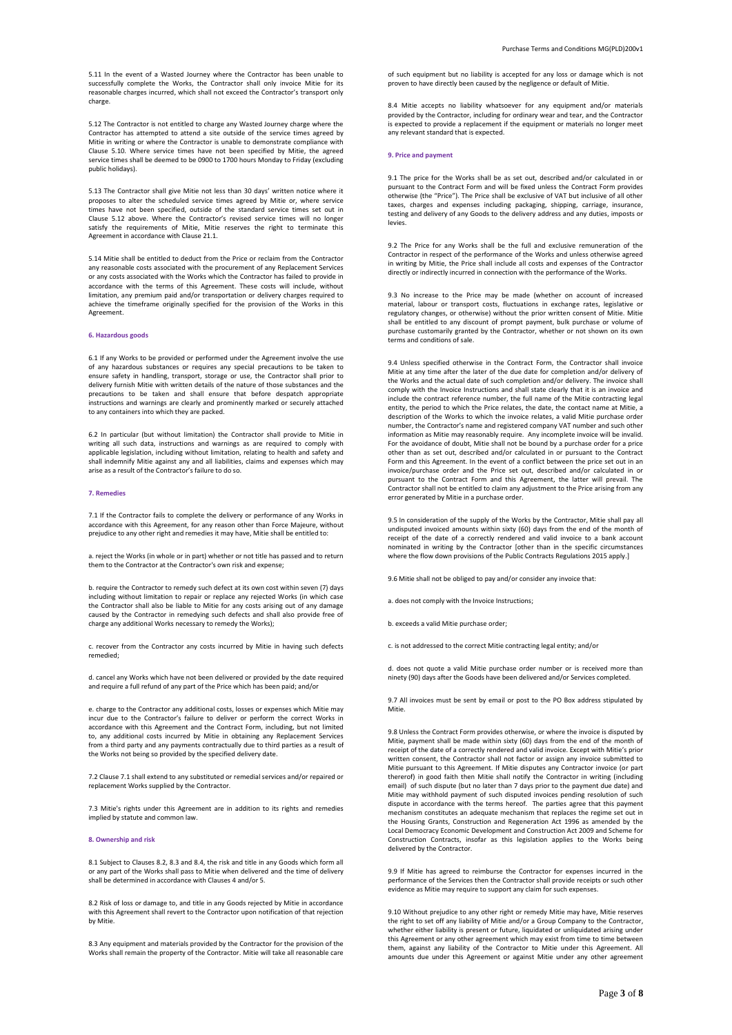5.11 In the event of a Wasted Journey where the Contractor has been unable to successfully complete the Works, the Contractor shall only invoice Mitie for its reasonable charges incurred, which shall not exceed the Contractor's transport only charge.

5.12 The Contractor is not entitled to charge any Wasted Journey charge where the Contractor has attempted to attend a site outside of the service times agreed by Mitie in writing or where the Contractor is unable to demonstrate compliance with Clause 5.10. Where service times have not been specified by Mitie, the agreed service times shall be deemed to be 0900 to 1700 hours Monday to Friday (excluding public holidays).

5.13 The Contractor shall give Mitie not less than 30 days' written notice where it proposes to alter the scheduled service times agreed by Mitie or, where service times have not been specified, outside of the standard service times set out in Clause 5.12 above. Where the Contractor's revised service times will no longer satisfy the requirements of Mitie, Mitie reserves the right to terminate this Agreement in accordance with Clause 21.1.

5.14 Mitie shall be entitled to deduct from the Price or reclaim from the Contractor any reasonable costs associated with the procurement of any Replacement Services or any costs associated with the Works which the Contractor has failed to provide in accordance with the terms of this Agreement. These costs will include, without limitation, any premium paid and/or transportation or delivery charges required to achieve the timeframe originally specified for the provision of the Works in this Agreement.

### **6. Hazardous goods**

6.1 If any Works to be provided or performed under the Agreement involve the use of any hazardous substances or requires any special precautions to be taken to ensure safety in handling, transport, storage or use, the Contractor shall prior to delivery furnish Mitie with written details of the nature of those substances and the precautions to be taken and shall ensure that before despatch appropriate instructions and warnings are clearly and prominently marked or securely attached to any containers into which they are packed.

6.2 In particular (but without limitation) the Contractor shall provide to Mitie in writing all such data, instructions and warnings as are required to comply with applicable legislation, including without limitation, relating to health and safety and shall indemnify Mitie against any and all liabilities, claims and expenses which may arise as a result of the Contractor's failure to do so.

## **7. Remedies**

7.1 If the Contractor fails to complete the delivery or performance of any Works in accordance with this Agreement, for any reason other than Force Majeure, without prejudice to any other right and remedies it may have, Mitie shall be entitled to:

a. reject the Works (in whole or in part) whether or not title has passed and to return them to the Contractor at the Contractor's own risk and expense;

b. require the Contractor to remedy such defect at its own cost within seven (7) days including without limitation to repair or replace any rejected Works (in which case the Contractor shall also be liable to Mitie for any costs arising out of any damage caused by the Contractor in remedying such defects and shall also provide free of charge any additional Works necessary to remedy the Works);

c. recover from the Contractor any costs incurred by Mitie in having such defects remedied;

d. cancel any Works which have not been delivered or provided by the date required and require a full refund of any part of the Price which has been paid; and/or

e. charge to the Contractor any additional costs, losses or expenses which Mitie may incur due to the Contractor's failure to deliver or perform the correct Works in accordance with this Agreement and the Contract Form, including, but not limited to, any additional costs incurred by Mitie in obtaining any Replacement Services from a third party and any payments contractually due to third parties as a result of the Works not being so provided by the specified delivery date.

7.2 Clause 7.1 shall extend to any substituted or remedial services and/or repaired or replacement Works supplied by the Contractor.

7.3 Mitie's rights under this Agreement are in addition to its rights and remedies implied by statute and common law.

## **8. Ownership and risk**

8.1 Subject to Clauses 8.2, 8.3 and 8.4, the risk and title in any Goods which form all or any part of the Works shall pass to Mitie when delivered and the time of delivery shall be determined in accordance with Clauses 4 and/or 5.

8.2 Risk of loss or damage to, and title in any Goods rejected by Mitie in accordance with this Agreement shall revert to the Contractor upon notification of that rejection by Mitie.

8.3 Any equipment and materials provided by the Contractor for the provision of the Works shall remain the property of the Contractor. Mitie will take all reasonable care

of such equipment but no liability is accepted for any loss or damage which is not proven to have directly been caused by the negligence or default of Mitie.

8.4 Mitie accepts no liability whatsoever for any equipment and/or materials provided by the Contractor, including for ordinary wear and tear, and the Contractor is expected to provide a replacement if the equipment or materials no longer meet any relevant standard that is expected.

## **9. Price and payment**

9.1 The price for the Works shall be as set out, described and/or calculated in or pursuant to the Contract Form and will be fixed unless the Contract Form provides otherwise (the "Price"). The Price shall be exclusive of VAT but inclusive of all other taxes, charges and expenses including packaging, shipping, carriage, insurance, testing and delivery of any Goods to the delivery address and any duties, imposts or levies.

9.2 The Price for any Works shall be the full and exclusive remuneration of the Contractor in respect of the performance of the Works and unless otherwise agreed in writing by Mitie, the Price shall include all costs and expenses of the Contractor directly or indirectly incurred in connection with the performance of the Works.

9.3 No increase to the Price may be made (whether on account of increased material, labour or transport costs, fluctuations in exchange rates, legislative or regulatory changes, or otherwise) without the prior written consent of Mitie. Mitie shall be entitled to any discount of prompt payment, bulk purchase or volume of purchase customarily granted by the Contractor, whether or not shown on its own terms and conditions of sale.

9.4 Unless specified otherwise in the Contract Form, the Contractor shall invoice Mitie at any time after the later of the due date for completion and/or delivery of the Works and the actual date of such completion and/or delivery. The invoice shall comply with the Invoice Instructions and shall state clearly that it is an invoice and include the contract reference number, the full name of the Mitie contracting legal entity, the period to which the Price relates, the date, the contact name at Mitie, a description of the Works to which the invoice relates, a valid Mitie purchase order number, the Contractor's name and registered company VAT number and such other information as Mitie may reasonably require. Any incomplete invoice will be invalid. For the avoidance of doubt, Mitie shall not be bound by a purchase order for a price other than as set out, described and/or calculated in or pursuant to the Contract Form and this Agreement. In the event of a conflict between the price set out in an invoice/purchase order and the Price set out, described and/or calculated in or pursuant to the Contract Form and this Agreement, the latter will prevail. The Contractor shall not be entitled to claim any adjustment to the Price arising from any error generated by Mitie in a purchase order.

9.5 In consideration of the supply of the Works by the Contractor, Mitie shall pay all undisputed invoiced amounts within sixty (60) days from the end of the month of receipt of the date of a correctly rendered and valid invoice to a bank account nominated in writing by the Contractor [other than in the specific circumstances where the flow down provisions of the Public Contracts Regulations 2015 apply.]

9.6 Mitie shall not be obliged to pay and/or consider any invoice that:

a. does not comply with the Invoice Instructions;

- b. exceeds a valid Mitie purchase order;
- c. is not addressed to the correct Mitie contracting legal entity; and/or

d. does not quote a valid Mitie purchase order number or is received more than ninety (90) days after the Goods have been delivered and/or Services completed.

9.7 All invoices must be sent by email or post to the PO Box address stipulated by Mitie.

9.8 Unless the Contract Form provides otherwise, or where the invoice is disputed by Mitie, payment shall be made within sixty (60) days from the end of the month of receipt of the date of a correctly rendered and valid invoice. Except with Mitie's prior written consent, the Contractor shall not factor or assign any invoice submitted to Mitie pursuant to this Agreement. If Mitie disputes any Contractor invoice (or part thererof) in good faith then Mitie shall notify the Contractor in writing (including email) of such dispute (but no later than 7 days prior to the payment due date) and Mitie may withhold payment of such disputed invoices pending resolution of such dispute in accordance with the terms hereof. The parties agree that this payment mechanism constitutes an adequate mechanism that replaces the regime set out in the Housing Grants, Construction and Regeneration Act 1996 as amended by the Local Democracy Economic Development and Construction Act 2009 and Scheme for Construction Contracts, insofar as this legislation applies to the Works being delivered by the Contractor.

9.9 If Mitie has agreed to reimburse the Contractor for expenses incurred in the performance of the Services then the Contractor shall provide receipts or such other evidence as Mitie may require to support any claim for such expenses.

9.10 Without prejudice to any other right or remedy Mitie may have, Mitie reserves the right to set off any liability of Mitie and/or a Group Company to the Contractor, whether either liability is present or future, liquidated or unliquidated arising under this Agreement or any other agreement which may exist from time to time between them, against any liability of the Contractor to Mitie under this Agreement. All amounts due under this Agreement or against Mitie under any other agreement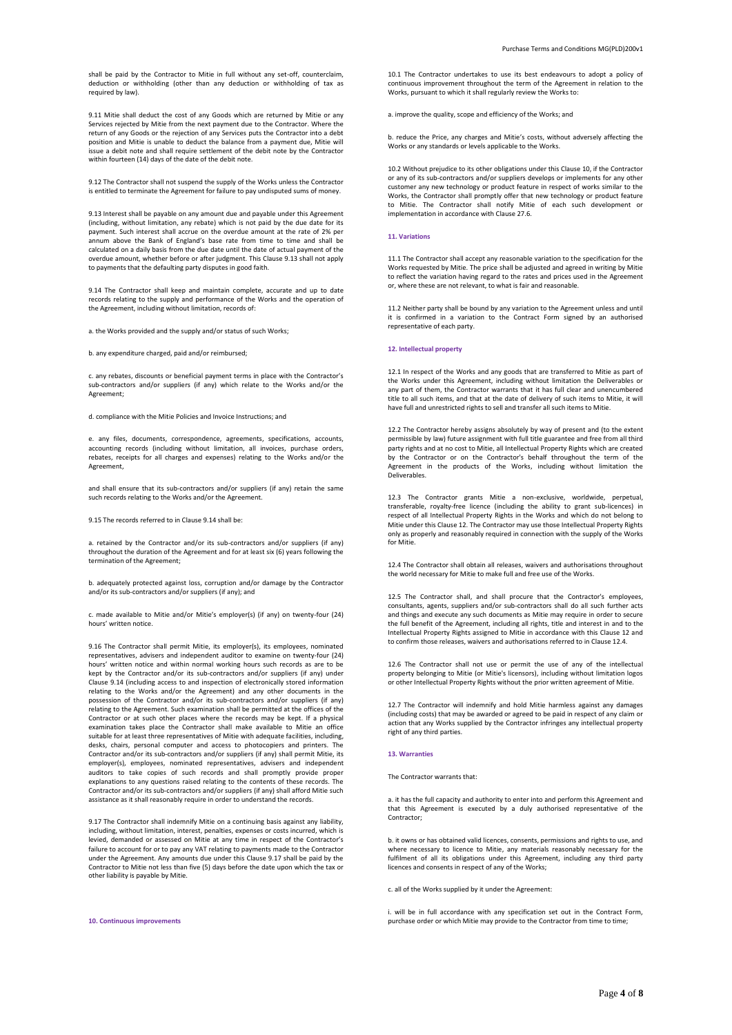shall be paid by the Contractor to Mitie in full without any set-off, counterclaim, deduction or withholding (other than any deduction or withholding of tax as required by law).

9.11 Mitie shall deduct the cost of any Goods which are returned by Mitie or any Services rejected by Mitie from the next payment due to the Contractor. Where the return of any Goods or the rejection of any Services puts the Contractor into a debt position and Mitie is unable to deduct the balance from a payment due, Mitie will issue a debit note and shall require settlement of the debit note by the Contractor within fourteen (14) days of the date of the debit note.

9.12 The Contractor shall not suspend the supply of the Works unless the Contractor is entitled to terminate the Agreement for failure to pay undisputed sums of money.

9.13 Interest shall be payable on any amount due and payable under this Agreement (including, without limitation, any rebate) which is not paid by the due date for its payment. Such interest shall accrue on the overdue amount at the rate of 2% per annum above the Bank of England's base rate from time to time and shall be calculated on a daily basis from the due date until the date of actual payment of the overdue amount, whether before or after judgment. This Clause 9.13 shall not apply to payments that the defaulting party disputes in good faith.

9.14 The Contractor shall keep and maintain complete, accurate and up to date records relating to the supply and performance of the Works and the operation of the Agreement, including without limitation, records of:

a. the Works provided and the supply and/or status of such Works;

b. any expenditure charged, paid and/or reimbursed;

c. any rebates, discounts or beneficial payment terms in place with the Contractor's sub-contractors and/or suppliers (if any) which relate to the Works and/or the Agreement;

d. compliance with the Mitie Policies and Invoice Instructions; and

e. any files, documents, correspondence, agreements, specifications, accounts, accounting records (including without limitation, all invoices, purchase orders, rebates, receipts for all charges and expenses) relating to the Works and/or the Agreement,

and shall ensure that its sub-contractors and/or suppliers (if any) retain the same such records relating to the Works and/or the Agreement.

9.15 The records referred to in Clause 9.14 shall be:

a. retained by the Contractor and/or its sub-contractors and/or suppliers (if any) throughout the duration of the Agreement and for at least six (6) years following the termination of the Agreement;

b. adequately protected against loss, corruption and/or damage by the Contractor and/or its sub-contractors and/or suppliers (if any); and

c. made available to Mitie and/or Mitie's employer(s) (if any) on twenty-four (24) hours' written notice.

9.16 The Contractor shall permit Mitie, its employer(s), its employees, nominated representatives, advisers and independent auditor to examine on twenty-four (24) hours' written notice and within normal working hours such records as are to be kept by the Contractor and/or its sub-contractors and/or suppliers (if any) under Clause 9.14 (including access to and inspection of electronically stored information relating to the Works and/or the Agreement) and any other documents in the possession of the Contractor and/or its sub-contractors and/or suppliers (if any) relating to the Agreement. Such examination shall be permitted at the offices of the Contractor or at such other places where the records may be kept. If a physical examination takes place the Contractor shall make available to Mitie an office suitable for at least three representatives of Mitie with adequate facilities, including, desks, chairs, personal computer and access to photocopiers and printers. The Contractor and/or its sub-contractors and/or suppliers (if any) shall permit Mitie, its employer(s), employees, nominated representatives, advisers and independent auditors to take copies of such records and shall promptly provide proper explanations to any questions raised relating to the contents of these records. The Contractor and/or its sub-contractors and/or suppliers (if any) shall afford Mitie such assistance as it shall reasonably require in order to understand the records.

9.17 The Contractor shall indemnify Mitie on a continuing basis against any liability, including, without limitation, interest, penalties, expenses or costs incurred, which is levied, demanded or assessed on Mitie at any time in respect of the Contractor's failure to account for or to pay any VAT relating to payments made to the Contractor under the Agreement. Any amounts due under this Clause 9.17 shall be paid by the Contractor to Mitie not less than five (5) days before the date upon which the tax or other liability is payable by Mitie.

**10. Continuous improvements**

10.1 The Contractor undertakes to use its best endeavours to adopt a policy of continuous improvement throughout the term of the Agreement in relation to the Works, pursuant to which it shall regularly review the Works to:

a. improve the quality, scope and efficiency of the Works; and

b. reduce the Price, any charges and Mitie's costs, without adversely affecting the Works or any standards or levels applicable to the Works.

10.2 Without prejudice to its other obligations under this Clause 10, if the Contractor or any of its sub-contractors and/or suppliers develops or implements for any other customer any new technology or product feature in respect of works similar to the Works, the Contractor shall promptly offer that new technology or product feature to Mitie. The Contractor shall notify Mitie of each such development or implementation in accordance with Clause 27.6.

# **11. Variations**

11.1 The Contractor shall accept any reasonable variation to the specification for the Works requested by Mitie. The price shall be adjusted and agreed in writing by Mitie to reflect the variation having regard to the rates and prices used in the Agreement or, where these are not relevant, to what is fair and reasonable.

11.2 Neither party shall be bound by any variation to the Agreement unless and until it is confirmed in a variation to the Contract Form signed by an authorised representative of each party.

# **12. Intellectual property**

12.1 In respect of the Works and any goods that are transferred to Mitie as part of the Works under this Agreement, including without limitation the Deliverables or any part of them, the Contractor warrants that it has full clear and unencumbered title to all such items, and that at the date of delivery of such items to Mitie, it will have full and unrestricted rights to sell and transfer all such items to Mitie.

12.2 The Contractor hereby assigns absolutely by way of present and (to the extent permissible by law) future assignment with full title guarantee and free from all third party rights and at no cost to Mitie, all Intellectual Property Rights which are created by the Contractor or on the Contractor's behalf throughout the term of the Agreement in the products of the Works, including without limitation the Deliverables.

12.3 The Contractor grants Mitie a non-exclusive, worldwide, perpetual, transferable, royalty-free licence (including the ability to grant sub-licences) in respect of all Intellectual Property Rights in the Works and which do not belong to Mitie under this Clause 12. The Contractor may use those Intellectual Property Rights only as properly and reasonably required in connection with the supply of the Works for Mitie.

12.4 The Contractor shall obtain all releases, waivers and authorisations throughout the world necessary for Mitie to make full and free use of the Works.

12.5 The Contractor shall, and shall procure that the Contractor's employees, consultants, agents, suppliers and/or sub-contractors shall do all such further acts and things and execute any such documents as Mitie may require in order to secure the full benefit of the Agreement, including all rights, title and interest in and to the Intellectual Property Rights assigned to Mitie in accordance with this Clause 12 and to confirm those releases, waivers and authorisations referred to in Clause 12.4.

12.6 The Contractor shall not use or permit the use of any of the intellectual property belonging to Mitie (or Mitie's licensors), including without limitation logos or other Intellectual Property Rights without the prior written agreement of Mitie.

12.7 The Contractor will indemnify and hold Mitie harmless against any damages (including costs) that may be awarded or agreed to be paid in respect of any claim or action that any Works supplied by the Contractor infringes any intellectual property right of any third parties.

### **13. Warranties**

The Contractor warrants that:

a. it has the full capacity and authority to enter into and perform this Agreement and that this Agreement is executed by a duly authorised representative of the Contractor;

b. it owns or has obtained valid licences, consents, permissions and rights to use, and where necessary to licence to Mitie, any materials reasonably necessary for the fulfilment of all its obligations under this Agreement, including any third party licences and consents in respect of any of the Works;

c. all of the Works supplied by it under the Agreement:

i. will be in full accordance with any specification set out in the Contract Form purchase order or which Mitie may provide to the Contractor from time to time;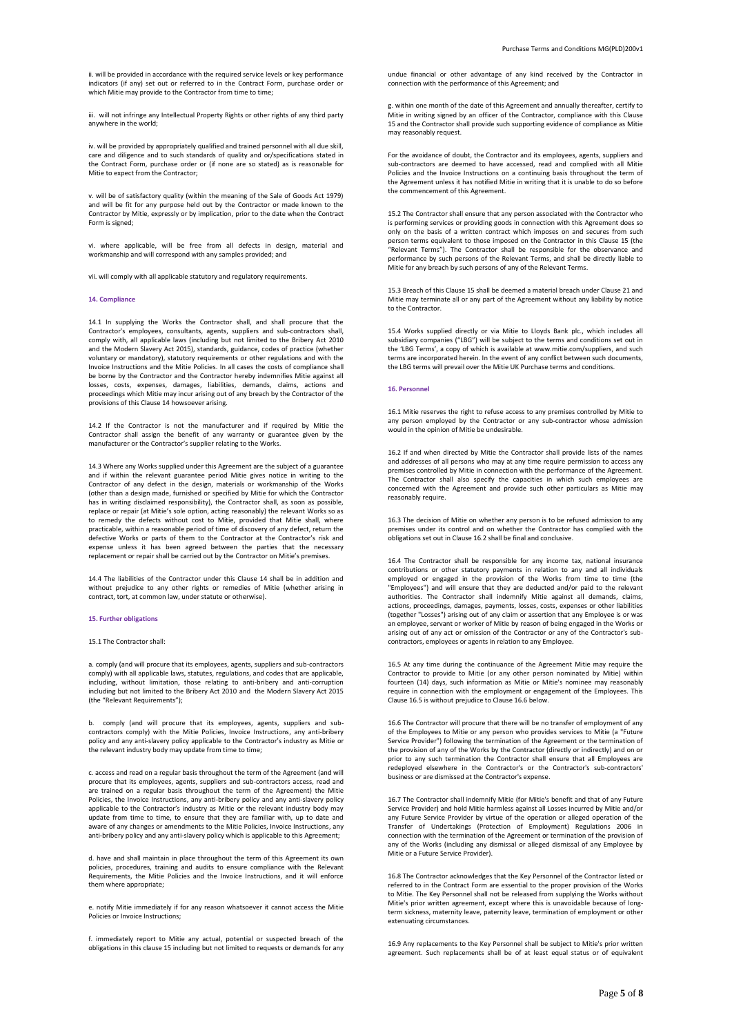ii. will be provided in accordance with the required service levels or key performance indicators (if any) set out or referred to in the Contract Form, purchase order or which Mitie may provide to the Contractor from time to time;

iii. will not infringe any Intellectual Property Rights or other rights of any third party anywhere in the world;

iv. will be provided by appropriately qualified and trained personnel with all due skill, care and diligence and to such standards of quality and or/specifications stated in the Contract Form, purchase order or (if none are so stated) as is reasonable for Mitie to expect from the Contractor;

v. will be of satisfactory quality (within the meaning of the Sale of Goods Act 1979) and will be fit for any purpose held out by the Contractor or made known to the Contractor by Mitie, expressly or by implication, prior to the date when the Contract Form is signed;

vi. where applicable, will be free from all defects in design, material and workmanship and will correspond with any samples provided; and

vii. will comply with all applicable statutory and regulatory requirements.

# **14. Compliance**

14.1 In supplying the Works the Contractor shall, and shall procure that the Contractor's employees, consultants, agents, suppliers and sub-contractors shall, comply with, all applicable laws (including but not limited to the Bribery Act 2010 and the Modern Slavery Act 2015), standards, guidance, codes of practice (whether voluntary or mandatory), statutory requirements or other regulations and with the Invoice Instructions and the Mitie Policies. In all cases the costs of compliance shall be borne by the Contractor and the Contractor hereby indemnifies Mitie against all losses, costs, expenses, damages, liabilities, demands, claims, actions and proceedings which Mitie may incur arising out of any breach by the Contractor of the provisions of this Clause 14 howsoever arising.

14.2 If the Contractor is not the manufacturer and if required by Mitie the Contractor shall assign the benefit of any warranty or guarantee given by the manufacturer or the Contractor's supplier relating to the Works.

14.3 Where any Works supplied under this Agreement are the subject of a guarantee and if within the relevant guarantee period Mitie gives notice in writing to the Contractor of any defect in the design, materials or workmanship of the Works (other than a design made, furnished or specified by Mitie for which the Contractor has in writing disclaimed responsibility), the Contractor shall, as soon as possible, replace or repair (at Mitie's sole option, acting reasonably) the relevant Works so as to remedy the defects without cost to Mitie, provided that Mitie shall, where practicable, within a reasonable period of time of discovery of any defect, return the defective Works or parts of them to the Contractor at the Contractor's risk and expense unless it has been agreed between the parties that the necessary replacement or repair shall be carried out by the Contractor on Mitie's premises.

14.4 The liabilities of the Contractor under this Clause 14 shall be in addition and without prejudice to any other rights or remedies of Mitie (whether arising in contract, tort, at common law, under statute or otherwise).

# **15. Further obligations**

15.1 The Contractor shall:

a. comply (and will procure that its employees, agents, suppliers and sub-contractors comply) with all applicable laws, statutes, regulations, and codes that are applicable, including, without limitation, those relating to anti-bribery and anti-corruption including but not limited to the Bribery Act 2010 and the Modern Slavery Act 2015 (the "Relevant Requirements");

b. comply (and will procure that its employees, agents, suppliers and sub-contractors comply) with the Mitie Policies, Invoice Instructions, any anti-bribery policy and any anti-slavery policy applicable to the Contractor's industry as Mitie or the relevant industry body may update from time to time;

c. access and read on a regular basis throughout the term of the Agreement (and will procure that its employees, agents, suppliers and sub-contractors access, read and are trained on a regular basis throughout the term of the Agreement) the Mitie Policies, the Invoice Instructions, any anti-bribery policy and any anti-slavery policy applicable to the Contractor's industry as Mitie or the relevant industry body may update from time to time, to ensure that they are familiar with, up to date and aware of any changes or amendments to the Mitie Policies, Invoice Instructions, any anti-bribery policy and any anti-slavery policy which is applicable to this Agreement;

d. have and shall maintain in place throughout the term of this Agreement its own policies, procedures, training and audits to ensure compliance with the Relevant Requirements, the Mitie Policies and the Invoice Instructions, and it will enforce them where appropriate;

e. notify Mitie immediately if for any reason whatsoever it cannot access the Mitie Policies or Invoice Instructions;

f. immediately report to Mitie any actual, potential or suspected breach of the obligations in this clause 15 including but not limited to requests or demands for any undue financial or other advantage of any kind received by the Contractor in connection with the performance of this Agreement; and

g. within one month of the date of this Agreement and annually thereafter, certify to Mitie in writing signed by an officer of the Contractor, compliance with this Clause 15 and the Contractor shall provide such supporting evidence of compliance as Mitie may reasonably request.

For the avoidance of doubt, the Contractor and its employees, agents, suppliers and sub-contractors are deemed to have accessed, read and complied with all Mitie Policies and the Invoice Instructions on a continuing basis throughout the term of the Agreement unless it has notified Mitie in writing that it is unable to do so before the commencement of this Agreement.

15.2 The Contractor shall ensure that any person associated with the Contractor who is performing services or providing goods in connection with this Agreement does so only on the basis of a written contract which imposes on and secures from such person terms equivalent to those imposed on the Contractor in this Clause 15 (the "Relevant Terms"). The Contractor shall be responsible for the observance and performance by such persons of the Relevant Terms, and shall be directly liable to Mitie for any breach by such persons of any of the Relevant Terms.

15.3 Breach of this Clause 15 shall be deemed a material breach under Clause 21 and Mitie may terminate all or any part of the Agreement without any liability by notice to the Contractor.

15.4 Works supplied directly or via Mitie to Lloyds Bank plc., which includes all subsidiary companies ("LBG") will be subject to the terms and conditions set out in the 'LBG Terms', a copy of which is available at www.mitie.com/suppliers, and such terms are incorporated herein. In the event of any conflict between such documents, the LBG terms will prevail over the Mitie UK Purchase terms and conditions.

### **16. Personnel**

16.1 Mitie reserves the right to refuse access to any premises controlled by Mitie to any person employed by the Contractor or any sub-contractor whose admission would in the opinion of Mitie be undesirable.

16.2 If and when directed by Mitie the Contractor shall provide lists of the names and addresses of all persons who may at any time require permission to access any premises controlled by Mitie in connection with the performance of the Agreement. The Contractor shall also specify the capacities in which such employees are concerned with the Agreement and provide such other particulars as Mitie may reasonably require.

16.3 The decision of Mitie on whether any person is to be refused admission to any premises under its control and on whether the Contractor has complied with the obligations set out in Clause 16.2 shall be final and conclusive.

16.4 The Contractor shall be responsible for any income tax, national insurance contributions or other statutory payments in relation to any and all individuals employed or engaged in the provision of the Works from time to time (the "Employees") and will ensure that they are deducted and/or paid to the relevant authorities. The Contractor shall indemnify Mitie against all demands, claims, actions, proceedings, damages, payments, losses, costs, expenses or other liabilities (together "Losses") arising out of any claim or assertion that any Employee is or was an employee, servant or worker of Mitie by reason of being engaged in the Works or arising out of any act or omission of the Contractor or any of the Contractor's subcontractors, employees or agents in relation to any Employee.

16.5 At any time during the continuance of the Agreement Mitie may require the Contractor to provide to Mitie (or any other person nominated by Mitie) within fourteen (14) days, such information as Mitie or Mitie's nominee may reasonably require in connection with the employment or engagement of the Employees. This Clause 16.5 is without prejudice to Clause 16.6 below.

16.6 The Contractor will procure that there will be no transfer of employment of any of the Employees to Mitie or any person who provides services to Mitie (a "Future Service Provider") following the termination of the Agreement or the termination of the provision of any of the Works by the Contractor (directly or indirectly) and on or provision of any such termination the Contractor shall ensure that all Employees are redeployed elsewhere in the Contractor's or the Contractor's sub-contractors' business or are dismissed at the Contractor's expense.

16.7 The Contractor shall indemnify Mitie (for Mitie's benefit and that of any Future Service Provider) and hold Mitie harmless against all Losses incurred by Mitie and/or any Future Service Provider by virtue of the operation or alleged operation of the Transfer of Undertakings (Protection of Employment) Regulations 2006 in connection with the termination of the Agreement or termination of the provision of any of the Works (including any dismissal or alleged dismissal of any Employee by Mitie or a Future Service Provider).

16.8 The Contractor acknowledges that the Key Personnel of the Contractor listed or referred to in the Contract Form are essential to the proper provision of the Works to Mitie. The Key Personnel shall not be released from supplying the Works without Mitie's prior written agreement, except where this is unavoidable because of longterm sickness, maternity leave, paternity leave, termination of employment or other extenuating circumstances.

16.9 Any replacements to the Key Personnel shall be subject to Mitie's prior written agreement. Such replacements shall be of at least equal status or of equivalent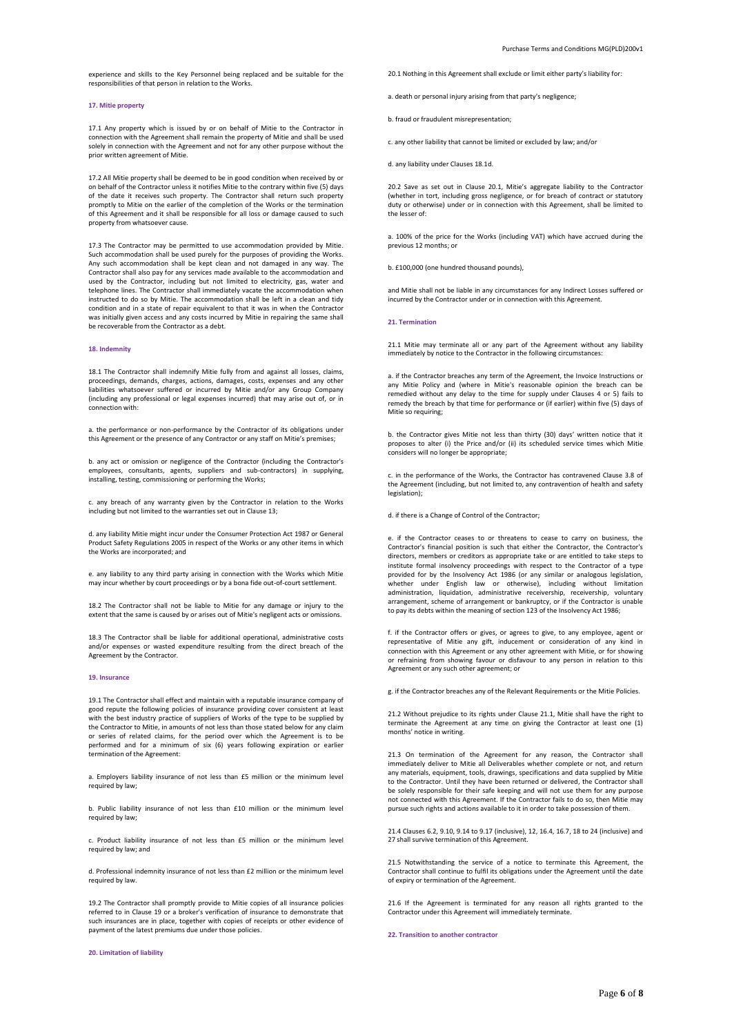experience and skills to the Key Personnel being replaced and be suitable for the responsibilities of that person in relation to the Works.

### **17. Mitie property**

17.1 Any property which is issued by or on behalf of Mitie to the Contractor in connection with the Agreement shall remain the property of Mitie and shall be used solely in connection with the Agreement and not for any other purpose without the prior written agreement of Mitie.

17.2 All Mitie property shall be deemed to be in good condition when received by or on behalf of the Contractor unless it notifies Mitie to the contrary within five (5) days of the date it receives such property. The Contractor shall return such property promptly to Mitie on the earlier of the completion of the Works or the termination of this Agreement and it shall be responsible for all loss or damage caused to such property from whatsoever cause.

17.3 The Contractor may be permitted to use accommodation provided by Mitie. Such accommodation shall be used purely for the purposes of providing the Works. Any such accommodation shall be kept clean and not damaged in any way. The Contractor shall also pay for any services made available to the accommodation and used by the Contractor, including but not limited to electricity, gas, water and telephone lines. The Contractor shall immediately vacate the accommodation when instructed to do so by Mitie. The accommodation shall be left in a clean and tidy condition and in a state of repair equivalent to that it was in when the Contractor was initially given access and any costs incurred by Mitie in repairing the same shall be recoverable from the Contractor as a debt.

# **18. Indemnity**

18.1 The Contractor shall indemnify Mitie fully from and against all losses, claims, proceedings, demands, charges, actions, damages, costs, expenses and any other liabilities whatsoever suffered or incurred by Mitie and/or any Group Company (including any professional or legal expenses incurred) that may arise out of, or in connection with:

a. the performance or non-performance by the Contractor of its obligations under this Agreement or the presence of any Contractor or any staff on Mitie's premises;

b. any act or omission or negligence of the Contractor (including the Contractor's employees, consultants, agents, suppliers and sub-contractors) in supplying installing, testing, commissioning or performing the Works;

c. any breach of any warranty given by the Contractor in relation to the Works including but not limited to the warranties set out in Clause 13;

d. any liability Mitie might incur under the Consumer Protection Act 1987 or General Product Safety Regulations 2005 in respect of the Works or any other items in which the Works are incorporated; and

e. any liability to any third party arising in connection with the Works which Mitie may incur whether by court proceedings or by a bona fide out-of-court settlement.

18.2 The Contractor shall not be liable to Mitie for any damage or injury to the extent that the same is caused by or arises out of Mitie's negligent acts or omissions.

18.3 The Contractor shall be liable for additional operational, administrative costs and/or expenses or wasted expenditure resulting from the direct breach of the Agreement by the Contractor.

## **19. Insurance**

19.1 The Contractor shall effect and maintain with a reputable insurance company of good repute the following policies of insurance providing cover consistent at least with the best industry practice of suppliers of Works of the type to be supplied by the Contractor to Mitie, in amounts of not less than those stated below for any claim or series of related claims, for the period over which the Agreement is to be performed and for a minimum of six (6) years following expiration or earlier termination of the Agreement:

a. Employers liability insurance of not less than £5 million or the minimum level required by law;

b. Public liability insurance of not less than £10 million or the minimum level required by law;

c. Product liability insurance of not less than £5 million or the minimum level required by law; and

d. Professional indemnity insurance of not less than £2 million or the minimum level required by law.

19.2 The Contractor shall promptly provide to Mitie copies of all insurance policies referred to in Clause 19 or a broker's verification of insurance to demonstrate that such insurances are in place, together with copies of receipts or other evidence of payment of the latest premiums due under those policies.

**20. Limitation of liability**

20.1 Nothing in this Agreement shall exclude or limit either party's liability for:

a. death or personal injury arising from that party's negligence;

b. fraud or fraudulent misrepresentation;

c. any other liability that cannot be limited or excluded by law; and/or

d. any liability under Clauses 18.1d.

20.2 Save as set out in Clause 20.1, Mitie's aggregate liability to the Contractor (whether in tort, including gross negligence, or for breach of contract or statutory duty or otherwise) under or in connection with this Agreement, shall be limited to the lesser of:

a. 100% of the price for the Works (including VAT) which have accrued during the previous 12 months; or

b. £100,000 (one hundred thousand pounds),

and Mitie shall not be liable in any circumstances for any Indirect Losses suffered or incurred by the Contractor under or in connection with this Agreement.

#### **21. Termination**

21.1 Mitie may terminate all or any part of the Agreement without any liability immediately by notice to the Contractor in the following circumstances:

a. if the Contractor breaches any term of the Agreement, the Invoice Instructions or any Mitie Policy and (where in Mitie's reasonable opinion the breach can be remedied without any delay to the time for supply under Clauses 4 or 5) fails to remedy the breach by that time for performance or (if earlier) within five (5) days of Mitie so requiring;

b. the Contractor gives Mitie not less than thirty (30) days' written notice that it proposes to alter (i) the Price and/or (ii) its scheduled service times which Mitie considers will no longer be appropriate;

c. in the performance of the Works, the Contractor has contravened Clause 3.8 of the Agreement (including, but not limited to, any contravention of health and safety legislation);

d. if there is a Change of Control of the Contractor;

e. if the Contractor ceases to or threatens to cease to carry on business, the Contractor's financial position is such that either the Contractor, the Contractor's directors, members or creditors as appropriate take or are entitled to take steps to institute formal insolvency proceedings with respect to the Contractor of a type provided for by the Insolvency Act 1986 (or any similar or analogous legislation, whether under English law or otherwise), including without limitation administration, liquidation, administrative receivership, receivership, voluntary arrangement, scheme of arrangement or bankruptcy, or if the Contractor is unable to pay its debts within the meaning of section 123 of the Insolvency Act 1986;

f. if the Contractor offers or gives, or agrees to give, to any employee, agent or representative of Mitie any gift, inducement or consideration of any kind in connection with this Agreement or any other agreement with Mitie, or for showing or refraining from showing favour or disfavour to any person in relation to this Agreement or any such other agreement; or

g. if the Contractor breaches any of the Relevant Requirements or the Mitie Policies.

21.2 Without prejudice to its rights under Clause 21.1, Mitie shall have the right to terminate the Agreement at any time on giving the Contractor at least one (1) months' notice in writing.

21.3 On termination of the Agreement for any reason, the Contractor shall immediately deliver to Mitie all Deliverables whether complete or not, and return any materials, equipment, tools, drawings, specifications and data supplied by Mitie to the Contractor. Until they have been returned or delivered, the Contractor shall be solely responsible for their safe keeping and will not use them for any purpose not connected with this Agreement. If the Contractor fails to do so, then Mitie may pursue such rights and actions available to it in order to take possession of them.

21.4 Clauses 6.2, 9.10, 9.14 to 9.17 (inclusive), 12, 16.4, 16.7, 18 to 24 (inclusive) and 27 shall survive termination of this Agreement.

21.5 Notwithstanding the service of a notice to terminate this Agreement, the Contractor shall continue to fulfil its obligations under the Agreement until the date of expiry or termination of the Agreement.

21.6 If the Agreement is terminated for any reason all rights granted to the Contractor under this Agreement will immediately terminate.

**22. Transition to another contractor**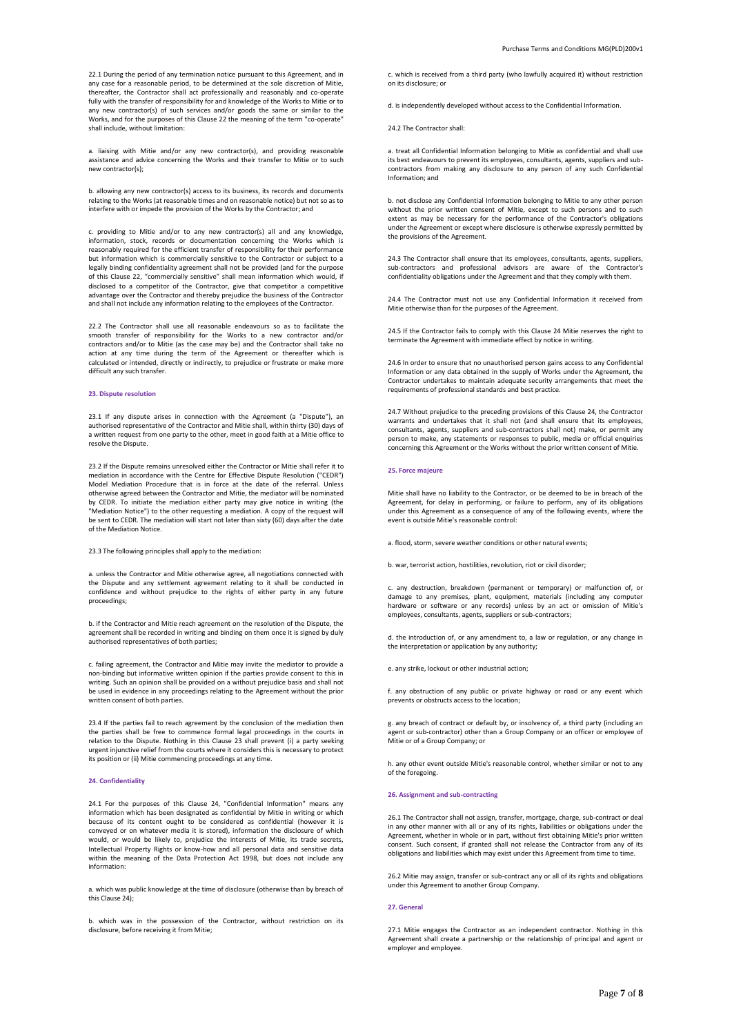22.1 During the period of any termination notice pursuant to this Agreement, and in any case for a reasonable period, to be determined at the sole discretion of Mitie, thereafter, the Contractor shall act professionally and reasonably and co-operate fully with the transfer of responsibility for and knowledge of the Works to Mitie or to any new contractor(s) of such services and/or goods the same or similar to the Works, and for the purposes of this Clause 22 the meaning of the term "co-operate" shall include, without limitation:

a. liaising with Mitie and/or any new contractor(s), and providing reasonable assistance and advice concerning the Works and their transfer to Mitie or to such new contractor(s);

b. allowing any new contractor(s) access to its business, its records and documents relating to the Works (at reasonable times and on reasonable notice) but not so as to interfere with or impede the provision of the Works by the Contractor; and

c. providing to Mitie and/or to any new contractor(s) all and any knowledge, information, stock, records or documentation concerning the Works which is reasonably required for the efficient transfer of responsibility for their performance but information which is commercially sensitive to the Contractor or subject to a legally binding confidentiality agreement shall not be provided (and for the purpose of this Clause 22, "commercially sensitive" shall mean information which would, if disclosed to a competitor of the Contractor, give that competitor a competitive advantage over the Contractor and thereby prejudice the business of the Contractor and shall not include any information relating to the employees of the Contractor.

22.2 The Contractor shall use all reasonable endeavours so as to facilitate the smooth transfer of responsibility for the Works to a new contractor and/or contractors and/or to Mitie (as the case may be) and the Contractor shall take no action at any time during the term of the Agreement or thereafter which is calculated or intended, directly or indirectly, to prejudice or frustrate or make more difficult any such transfer.

### **23. Dispute resolution**

23.1 If any dispute arises in connection with the Agreement (a "Dispute"), an authorised representative of the Contractor and Mitie shall, within thirty (30) days of a written request from one party to the other, meet in good faith at a Mitie office to resolve the Dispute.

23.2 If the Dispute remains unresolved either the Contractor or Mitie shall refer it to mediation in accordance with the Centre for Effective Dispute Resolution ("CEDR") Model Mediation Procedure that is in force at the date of the referral. Unless otherwise agreed between the Contractor and Mitie, the mediator will be nominated by CEDR. To initiate the mediation either party may give notice in writing (the "Mediation Notice") to the other requesting a mediation. A copy of the request will be sent to CEDR. The mediation will start not later than sixty (60) days after the date of the Mediation Notice.

# 23.3 The following principles shall apply to the mediation:

a. unless the Contractor and Mitie otherwise agree, all negotiations connected with the Dispute and any settlement agreement relating to it shall be conducted in confidence and without prejudice to the rights of either party in any future proceedings;

b. if the Contractor and Mitie reach agreement on the resolution of the Dispute, the agreement shall be recorded in writing and binding on them once it is signed by duly authorised representatives of both parties;

c. failing agreement, the Contractor and Mitie may invite the mediator to provide a non-binding but informative written opinion if the parties provide consent to this in writing. Such an opinion shall be provided on a without prejudice basis and shall not be used in evidence in any proceedings relating to the Agreement without the prior written consent of both parties.

23.4 If the parties fail to reach agreement by the conclusion of the mediation then the parties shall be free to commence formal legal proceedings in the courts in relation to the Dispute. Nothing in this Clause 23 shall prevent (i) a party seeking urgent injunctive relief from the courts where it considers this is necessary to protect its position or (ii) Mitie commencing proceedings at any time.

## **24. Confidentiality**

24.1 For the purposes of this Clause 24, "Confidential Information" means any information which has been designated as confidential by Mitie in writing or which because of its content ought to be considered as confidential (however it is conveyed or on whatever media it is stored), information the disclosure of which would, or would be likely to, prejudice the interests of Mitie, its trade secrets, Intellectual Property Rights or know-how and all personal data and sensitive data within the meaning of the Data Protection Act 1998, but does not include any information:

a. which was public knowledge at the time of disclosure (otherwise than by breach of this Clause 24);

b. which was in the possession of the Contractor, without restriction on its disclosure, before receiving it from Mitie;

c. which is received from a third party (who lawfully acquired it) without restriction on its disclosure; or

d. is independently developed without access to the Confidential Information.

24.2 The Contractor shall:

a. treat all Confidential Information belonging to Mitie as confidential and shall use its best endeavours to prevent its employees, consultants, agents, suppliers and subcontractors from making any disclosure to any person of any such Confidential Information; and

b. not disclose any Confidential Information belonging to Mitie to any other person without the prior written consent of Mitie, except to such persons and to such extent as may be necessary for the performance of the Contractor's obligations under the Agreement or except where disclosure is otherwise expressly permitted by the provisions of the Agreement.

24.3 The Contractor shall ensure that its employees, consultants, agents, suppliers, sub-contractors and professional advisors are aware of the Contractor's confidentiality obligations under the Agreement and that they comply with them.

24.4 The Contractor must not use any Confidential Information it received from Mitie otherwise than for the purposes of the Agreement.

24.5 If the Contractor fails to comply with this Clause 24 Mitie reserves the right to terminate the Agreement with immediate effect by notice in writing.

24.6 In order to ensure that no unauthorised person gains access to any Confidential Information or any data obtained in the supply of Works under the Agreement, the Contractor undertakes to maintain adequate security arrangements that meet the requirements of professional standards and best practice.

24.7 Without prejudice to the preceding provisions of this Clause 24, the Contractor warrants and undertakes that it shall not (and shall ensure that its employees, consultants, agents, suppliers and sub-contractors shall not) make, or permit any person to make, any statements or responses to public, media or official enquiries concerning this Agreement or the Works without the prior written consent of Mitie.

### **25. Force majeure**

Mitie shall have no liability to the Contractor, or be deemed to be in breach of the Agreement, for delay in performing, or failure to perform, any of its obligations under this Agreement as a consequence of any of the following events, where the event is outside Mitie's reasonable control:

a. flood, storm, severe weather conditions or other natural events;

b. war, terrorist action, hostilities, revolution, riot or civil disorder;

c. any destruction, breakdown (permanent or temporary) or malfunction of, or damage to any premises, plant, equipment, materials (including any compute hardware or software or any records) unless by an act or omission of Mitie's employees, consultants, agents, suppliers or sub-contractors;

d. the introduction of, or any amendment to, a law or regulation, or any change in the interpretation or application by any authority;

e. any strike, lockout or other industrial action;

f. any obstruction of any public or private highway or road or any event which prevents or obstructs access to the location;

g. any breach of contract or default by, or insolvency of, a third party (including an agent or sub-contractor) other than a Group Company or an officer or employee of Mitie or of a Group Company; or

h. any other event outside Mitie's reasonable control, whether similar or not to any of the foregoing.

#### **26. Assignment and sub-contracting**

26.1 The Contractor shall not assign, transfer, mortgage, charge, sub-contract or deal in any other manner with all or any of its rights, liabilities or obligations under the Agreement, whether in whole or in part, without first obtaining Mitie's prior written consent. Such consent, if granted shall not release the Contractor from any of its obligations and liabilities which may exist under this Agreement from time to time.

26.2 Mitie may assign, transfer or sub-contract any or all of its rights and obligations under this Agreement to another Group Company.

# **27. General**

27.1 Mitie engages the Contractor as an independent contractor. Nothing in this Agreement shall create a partnership or the relationship of principal and agent or employer and employee.